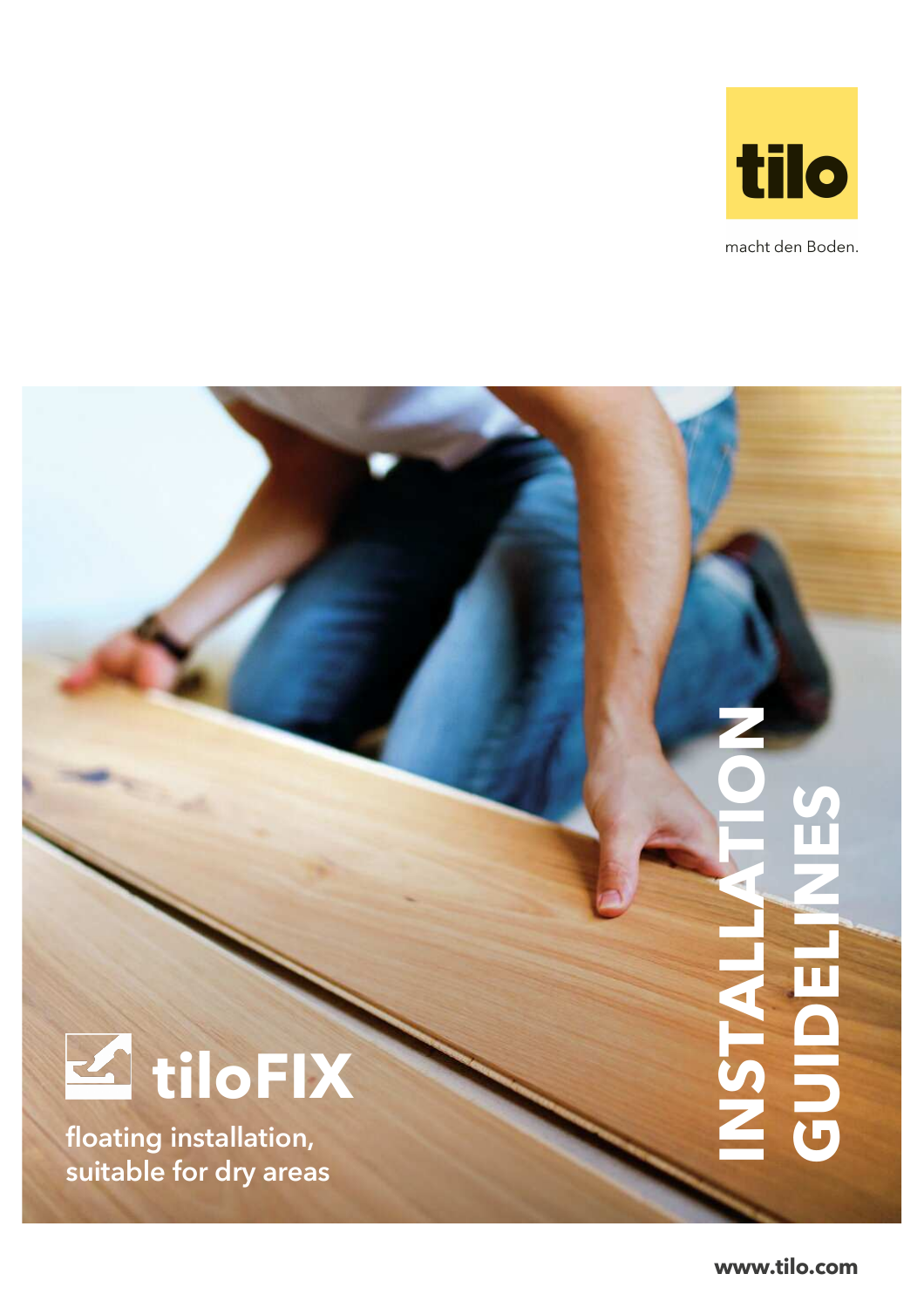

macht den Boden.



floating installation, suitable for dry areas

**www.tilo.com**

**INSTALLATION**

**GUIDE**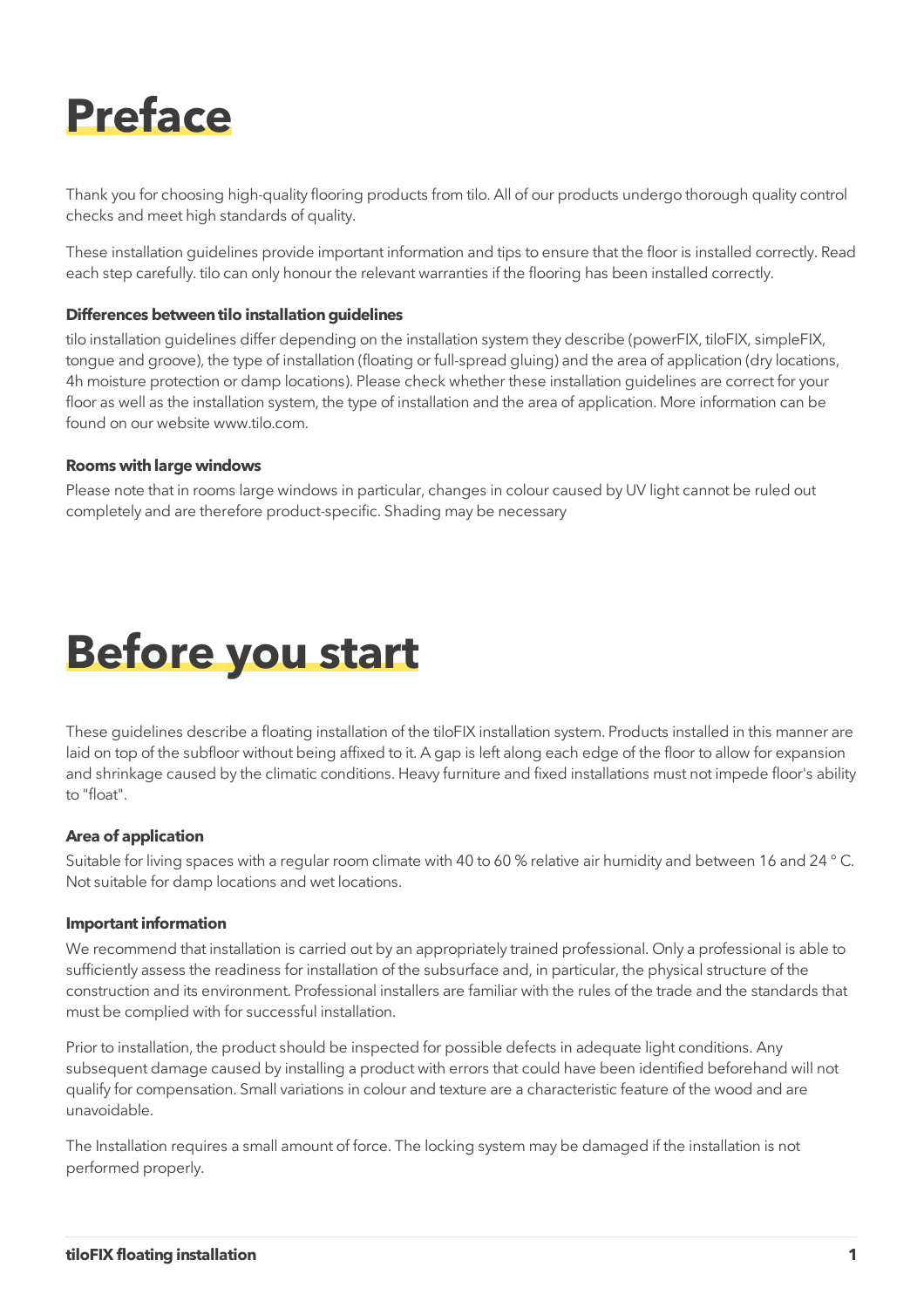

Thank you for choosing high-quality flooring products from tilo. All of our products undergo thorough quality control checks and meet high standards of quality.

These installation guidelines provide important information and tips to ensure that the floor is installed correctly. Read each step carefully. tilo can only honour the relevant warranties if the flooring has been installed correctly.

#### **Differences between tilo installation guidelines**

tilo installation guidelines differ depending on the installation system they describe (powerFIX, tiloFIX, simpleFIX, tongue and groove), the type of installation (floating or full-spread gluing) and the area of application (dry locations, 4h moisture protection or damp locations). Please check whether these installation guidelines are correct for your floor as well as the installation system, the type of installation and the area of application. More information can be found on our website www.tilo.com.

#### **Rooms with large windows**

Please note that in rooms large windows in particular, changes in colour caused by UV light cannot be ruled out completely and are therefore product-specific. Shading may be necessary



These guidelines describe a floating installation of the tiloFIX installation system. Products installed in this manner are laid on top of the subfloor without being affixed to it. A gap is left along each edge of the floor to allow for expansion and shrinkage caused by the climatic conditions. Heavy furniture and fixed installations must not impede floor's ability to "float".

## **Area of application**

Suitable for living spaces with a regular room climate with 40 to 60 % relative air humidity and between 16 and 24 ° C. Not suitable for damp locations and wet locations.

#### **Important information**

We recommend that installation is carried out by an appropriately trained professional. Only a professional is able to sufficiently assess the readiness for installation of the subsurface and, in particular, the physical structure of the construction and its environment. Professional installers are familiar with the rules of the trade and the standards that must be complied with for successful installation.

Prior to installation, the product should be inspected for possible defects in adequate light conditions. Any subsequent damage caused by installing a product with errors that could have been identified beforehand will not qualify for compensation. Small variations in colour and texture are a characteristic feature of the wood and are unavoidable.

The Installation requires a small amount of force. The locking system may be damaged if the installation is not performed properly.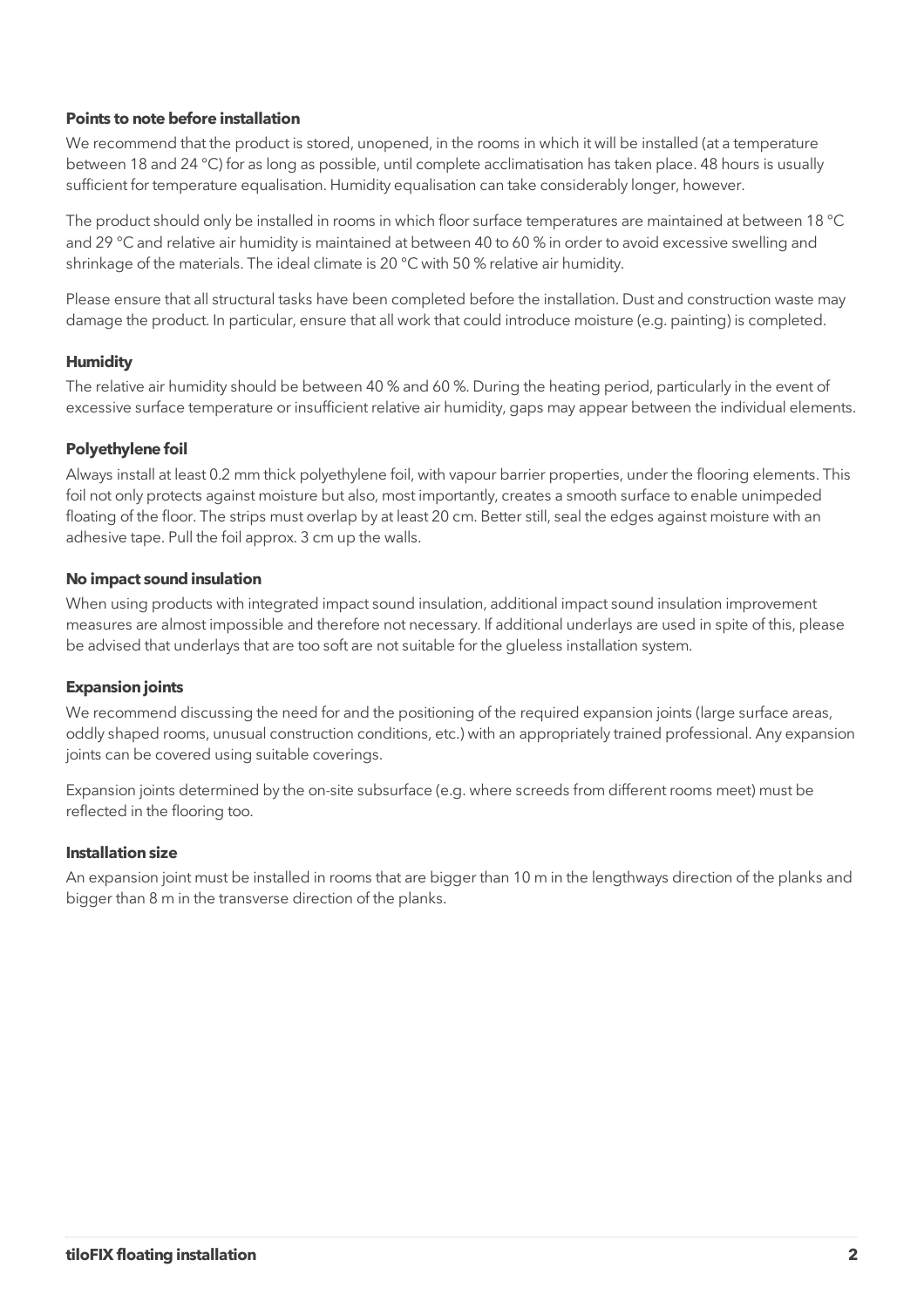## **Points to note before installation**

We recommend that the product is stored, unopened, in the rooms in which it will be installed (at a temperature between 18 and 24 °C) for as long as possible, until complete acclimatisation has taken place. 48 hours is usually sufficient for temperature equalisation. Humidity equalisation can take considerably longer, however.

The product should only be installed in rooms in which floor surface temperatures are maintained at between 18 °C and 29 °C and relative air humidity is maintained at between 40 to 60 % in order to avoid excessive swelling and shrinkage of the materials. The ideal climate is 20 °C with 50 % relative air humidity.

Please ensure that all structural tasks have been completed before the installation. Dust and construction waste may damage the product. In particular, ensure that all work that could introduce moisture (e.g. painting) is completed.

## **Humidity**

The relative air humidity should be between 40 % and 60 %. During the heating period, particularly in the event of excessive surface temperature or insufficient relative air humidity, gaps may appear between the individual elements.

## **Polyethylene foil**

Always install at least 0.2 mm thick polyethylene foil, with vapour barrier properties, under the flooring elements. This foil not only protects against moisture but also, most importantly, creates a smooth surface to enable unimpeded floating of the floor. The strips must overlap by at least 20 cm. Better still, seal the edges against moisture with an adhesive tape. Pull the foil approx. 3 cm up the walls.

## **No impact sound insulation**

When using products with integrated impact sound insulation, additional impact sound insulation improvement measures are almost impossible and therefore not necessary. If additional underlays are used in spite of this, please be advised that underlays that are too soft are not suitable for the glueless installation system.

## **Expansion joints**

We recommend discussing the need for and the positioning of the required expansion joints (large surface areas, oddly shaped rooms, unusual construction conditions, etc.) with an appropriately trained professional. Any expansion joints can be covered using suitable coverings.

Expansion joints determined by the on-site subsurface (e.g. where screeds from different rooms meet) must be reflected in the flooring too.

## **Installation size**

An expansion joint must be installed in rooms that are bigger than 10 m in the lengthways direction of the planks and bigger than 8 m in the transverse direction of the planks.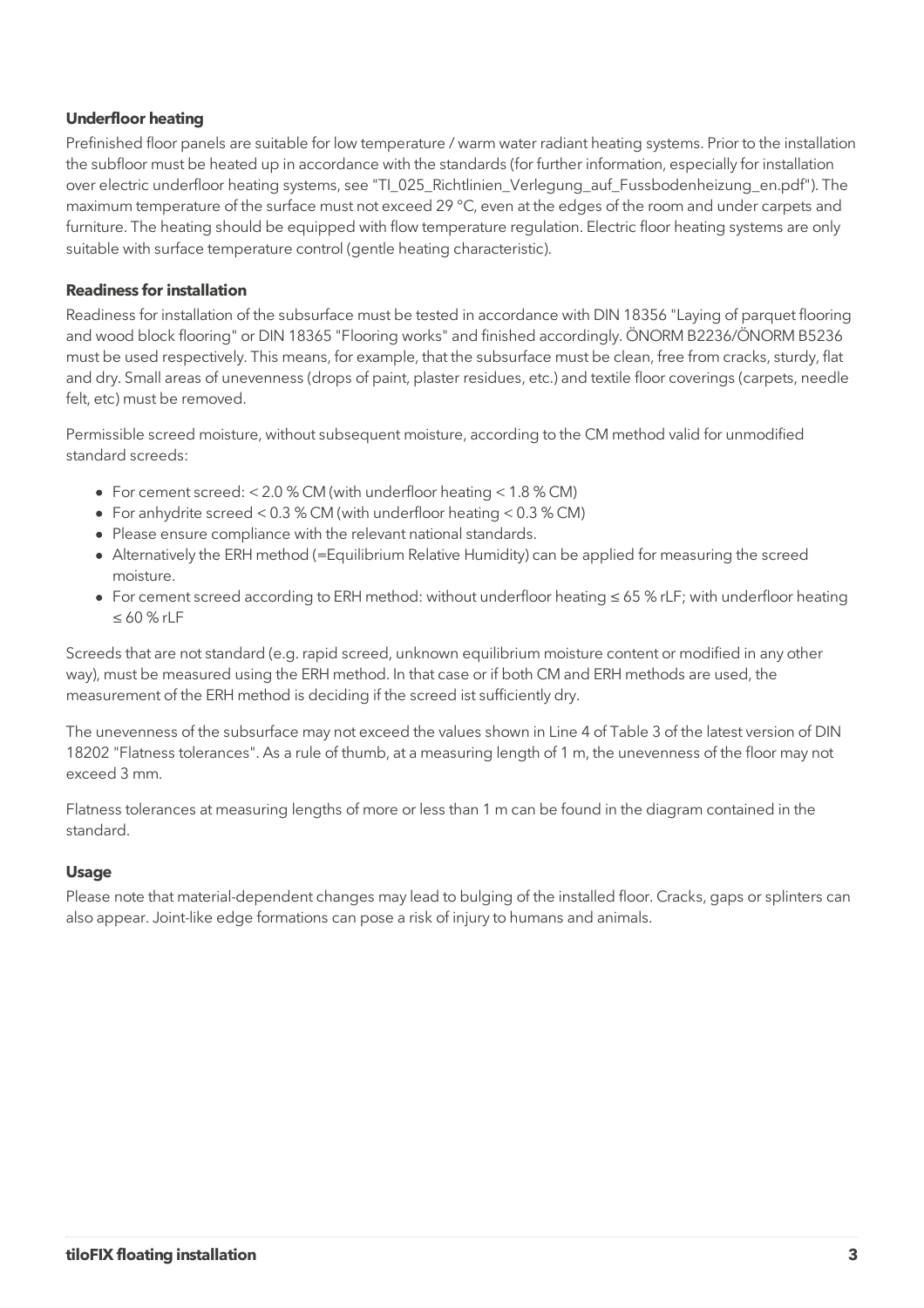# **Underfloor heating**

Prefinished floor panels are suitable for low temperature / warm water radiant heating systems. Prior to the installation the subfloor must be heated up in accordance with the standards (for further information, especially for installation over electric underfloor heating systems, see "TI\_025\_Richtlinien\_Verlegung\_auf\_Fussbodenheizung\_en.pdf"). The maximum temperature of the surface must not exceed 29 °C, even at the edges of the room and under carpets and furniture. The heating should be equipped with flow temperature regulation. Electric floor heating systems are only suitable with surface temperature control (gentle heating characteristic).

## **Readiness for installation**

Readiness for installation of the subsurface must be tested in accordance with DIN 18356 "Laying of parquet flooring and wood block flooring" or DIN 18365 "Flooring works" and finished accordingly. ÖNORM B2236/ÖNORM B5236 must be used respectively. This means, for example, that the subsurface must be clean, free from cracks, sturdy, flat and dry. Small areas of unevenness (drops of paint, plaster residues, etc.) and textile floor coverings (carpets, needle felt, etc) must be removed.

Permissible screed moisture, without subsequent moisture, according to the CM method valid for unmodified standard screeds:

- For cement screed: < 2.0 % CM (with underfloor heating < 1.8 % CM)
- For anhydrite screed < 0.3 % CM (with underfloor heating < 0.3 % CM)
- Please ensure compliance with the relevant national standards.
- Alternatively the ERH method (=Equilibrium Relative Humidity) can be applied for measuring the screed moisture.
- For cement screed according to ERH method: without underfloor heating ≤ 65 % rLF; with underfloor heating ≤ 60 % rLF

Screeds that are not standard (e.g. rapid screed, unknown equilibrium moisture content or modified in any other way), must be measured using the ERH method. In that case or if both CM and ERH methods are used, the measurement of the ERH method is deciding if the screed ist sufficiently dry.

The unevenness of the subsurface may not exceed the values shown in Line 4 of Table 3 of the latest version of DIN 18202 "Flatness tolerances". As a rule of thumb, at a measuring length of 1 m, the unevenness of the floor may not exceed 3 mm.

Flatness tolerances at measuring lengths of more or less than 1 m can be found in the diagram contained in the standard.

## **Usage**

Please note that material-dependent changes may lead to bulging of the installed floor. Cracks, gaps or splinters can also appear. Joint-like edge formations can pose a risk of injury to humans and animals.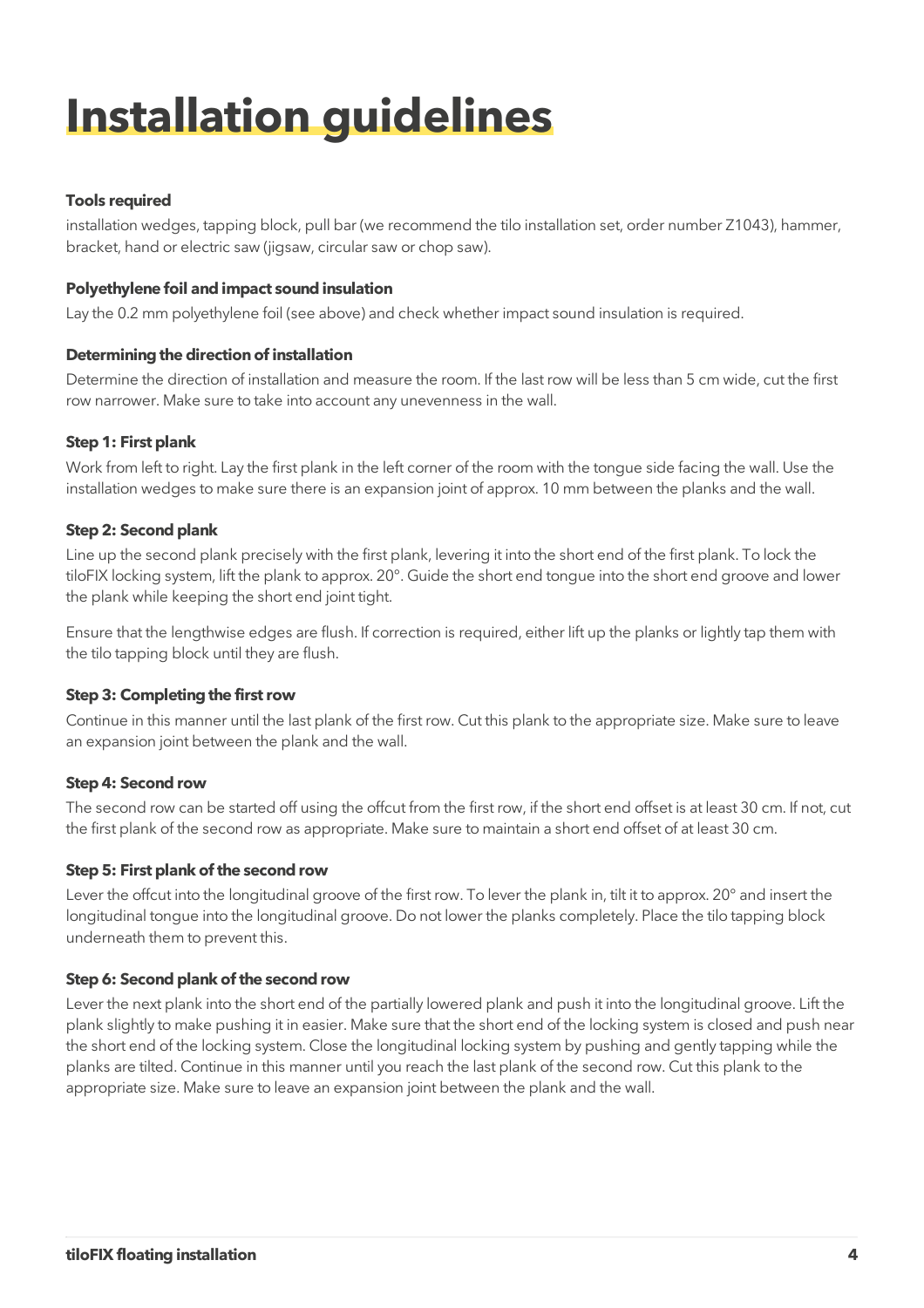# **Installation guidelines**

# **Tools required**

installation wedges, tapping block, pull bar (we recommend the tilo installation set, order number Z1043), hammer, bracket, hand or electric saw (jigsaw, circular saw or chop saw).

# **Polyethylene foil and impact sound insulation**

Lay the 0.2 mm polyethylene foil (see above) and check whether impact sound insulation is required.

# **Determining the direction of installation**

Determine the direction of installation and measure the room. If the last row will be less than 5 cm wide, cut the first row narrower. Make sure to take into account any unevenness in the wall.

# **Step 1: First plank**

Work from left to right. Lay the first plank in the left corner of the room with the tongue side facing the wall. Use the installation wedges to make sure there is an expansion joint of approx. 10 mm between the planks and the wall.

# **Step 2: Second plank**

Line up the second plank precisely with the first plank, levering it into the short end of the first plank. To lock the tiloFIX locking system, lift the plank to approx. 20°. Guide the short end tongue into the short end groove and lower the plank while keeping the short end joint tight.

Ensure that the lengthwise edges are flush. If correction is required, either lift up the planks or lightly tap them with the tilo tapping block until they are flush.

# **Step 3: Completing the first row**

Continue in this manner until the last plank of the first row. Cut this plank to the appropriate size. Make sure to leave an expansion joint between the plank and the wall.

# **Step 4: Second row**

The second row can be started off using the offcut from the first row, if the short end offset is at least 30 cm. If not, cut the first plank of the second row as appropriate. Make sure to maintain a short end offset of at least 30 cm.

# **Step 5: First plank of the second row**

Lever the offcut into the longitudinal groove of the first row. To lever the plank in, tilt it to approx. 20° and insert the longitudinal tongue into the longitudinal groove. Do not lower the planks completely. Place the tilo tapping block underneath them to prevent this.

# **Step 6: Second plank of the second row**

Lever the next plank into the short end of the partially lowered plank and push it into the longitudinal groove. Lift the plank slightly to make pushing it in easier. Make sure that the short end of the locking system is closed and push near the short end of the locking system. Close the longitudinal locking system by pushing and gently tapping while the planks are tilted. Continue in this manner until you reach the last plank of the second row. Cut this plank to the appropriate size. Make sure to leave an expansion joint between the plank and the wall.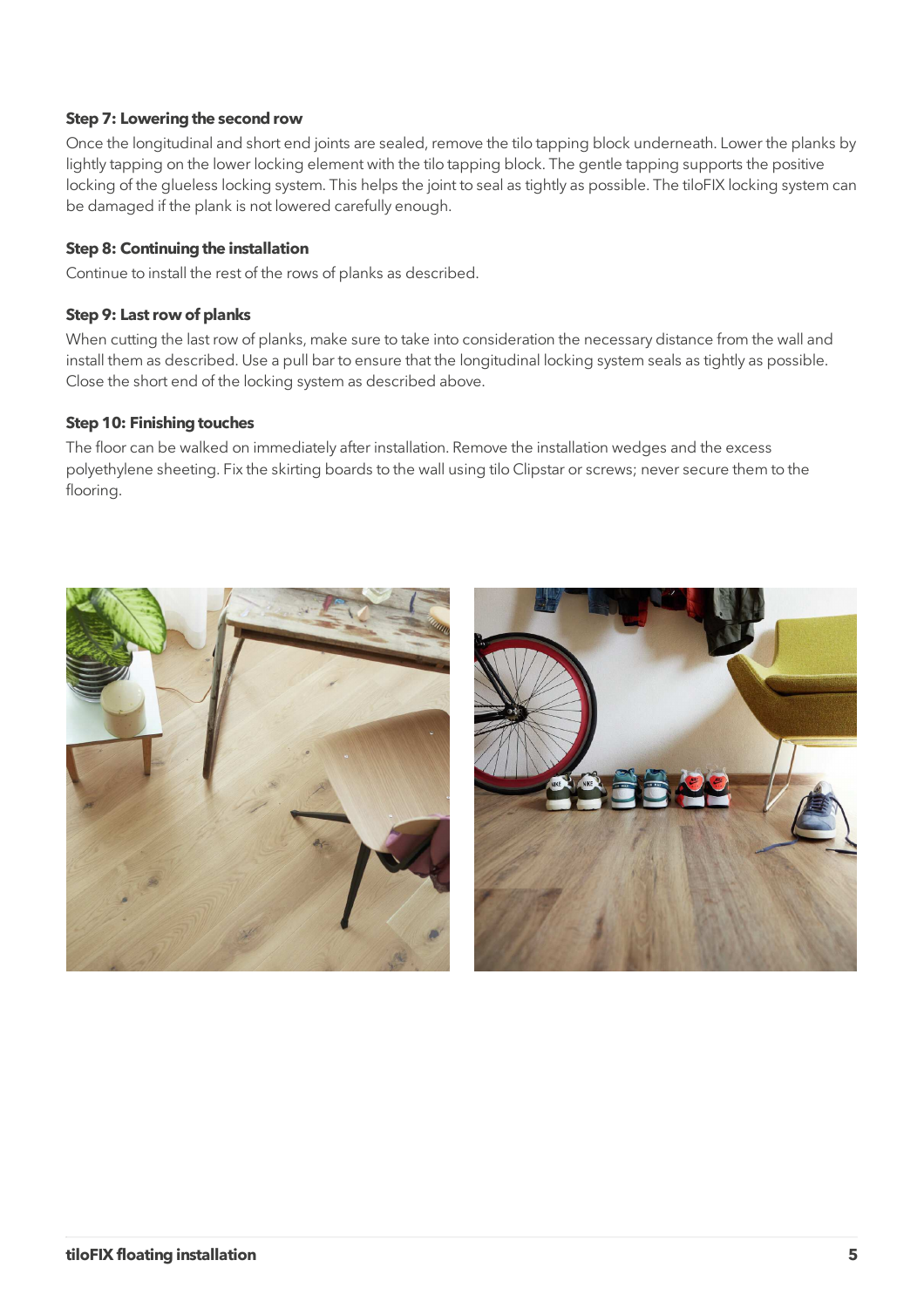## **Step 7: Lowering the second row**

Once the longitudinal and short end joints are sealed, remove the tilo tapping block underneath. Lower the planks by lightly tapping on the lower locking element with the tilo tapping block. The gentle tapping supports the positive locking of the glueless locking system. This helps the joint to seal as tightly as possible. The tiloFIX locking system can be damaged if the plank is not lowered carefully enough.

## **Step 8: Continuing the installation**

Continue to install the rest of the rows of planks as described.

## **Step 9: Last row of planks**

When cutting the last row of planks, make sure to take into consideration the necessary distance from the wall and install them as described. Use a pull bar to ensure that the longitudinal locking system seals as tightly as possible. Close the short end of the locking system as described above.

## **Step 10: Finishing touches**

The floor can be walked on immediately after installation. Remove the installation wedges and the excess polyethylene sheeting. Fix the skirting boards to the wall using tilo Clipstar or screws; never secure them to the flooring.